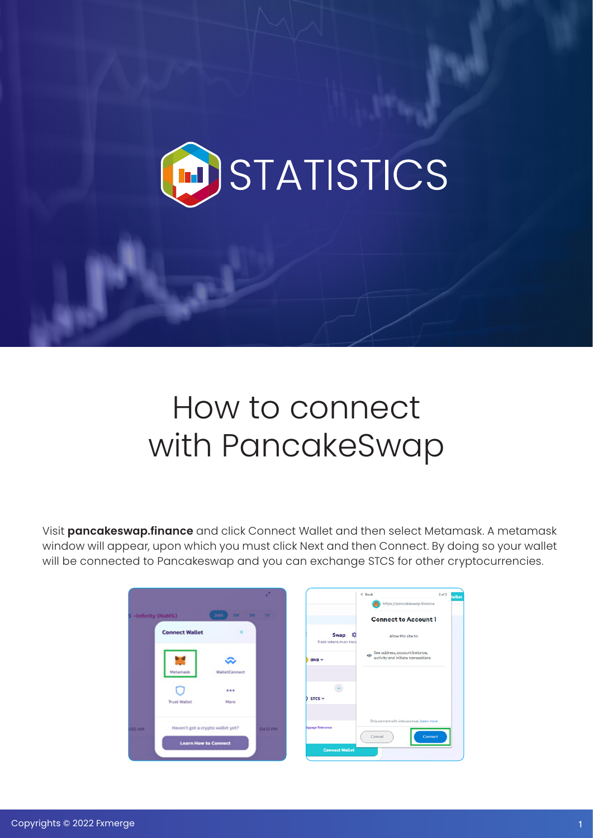

## How to connect with PancakeSwap

Visit **pancakeswap.finance** and click Connect Wallet and then select Metamask. A metamask window will appear, upon which you must click Next and then Connect. By doing so your wallet will be connected to Pancakeswap and you can exchange STCS for other cryptocurrencies.

|                    |                                  |                               | z              |                                              | $\leftarrow$ Bock<br>https://pancakeswap.finance                               | 2 <sub>0</sub> f2<br><i>l</i> allet |
|--------------------|----------------------------------|-------------------------------|----------------|----------------------------------------------|--------------------------------------------------------------------------------|-------------------------------------|
| S -Infinity (NaN%) |                                  | 24H<br><b>TW</b><br><b>TM</b> | <b>IV</b>      |                                              | <b>Connect to Account 1</b>                                                    |                                     |
|                    | <b>Connect Wallet</b>            | ×                             |                | <b>Swap</b><br>ю<br>Trade tokens in an insta | Allow this site to:                                                            |                                     |
|                    | Metamask                         | <b>WalletConnect</b>          |                | $BNB \sim$                                   | See address, account balance,<br>$\odot$<br>activity and initiate transactions |                                     |
|                    | <b>Trust Wallet</b>              | <br>More                      |                | $\bar{\psi}$<br>$STCS$ $\sim$                |                                                                                |                                     |
| <b>MA OO!</b>      | Haven't got a crypto wallet yet? |                               | <b>0412 PM</b> | <b>Ippage Tolerance</b>                      | Only connect with sites you trust. Learn more<br>Cancel<br>Connect             |                                     |
|                    | <b>Learn How to Connect</b>      |                               |                | <b>Connect Wallet</b>                        |                                                                                |                                     |